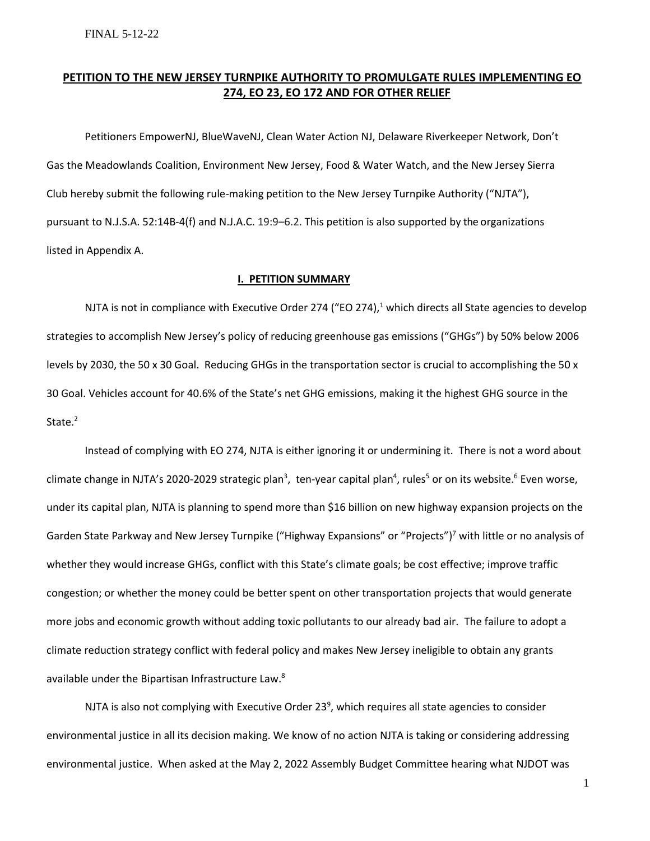# **PETITION TO THE NEW JERSEY TURNPIKE AUTHORITY TO PROMULGATE RULES IMPLEMENTING EO 274, EO 23, EO 172 AND FOR OTHER RELIEF**

Petitioners EmpowerNJ, BlueWaveNJ, Clean Water Action NJ, Delaware Riverkeeper Network, Don't Gas the Meadowlands Coalition, Environment New Jersey, Food & Water Watch, and the New Jersey Sierra Club hereby submit the following rule-making petition to the New Jersey Turnpike Authority ("NJTA"), pursuant to N.J.S.A. 52:14B-4(f) and N.J.A.C. 19:9–6.2. This petition is also supported by the organizations listed in Appendix A.

#### **I. PETITION SUMMARY**

NJTA is not in compliance with Executive Order 274 ("EO 274), $1$  which directs all State agencies to develop strategies to accomplish New Jersey's policy of reducing greenhouse gas emissions ("GHGs") by 50% below 2006 levels by 2030, the 50 x 30 Goal. Reducing GHGs in the transportation sector is crucial to accomplishing the 50 x 30 Goal. Vehicles account for 40.6% of the State's net GHG emissions, making it the highest GHG source in the State.<sup>2</sup>

Instead of complying with EO 274, NJTA is either ignoring it or undermining it. There is not a word about climate change in NJTA's 2020-2029 strategic plan<sup>3</sup>, ten-year capital plan<sup>4</sup>, rules<sup>5</sup> or on its website.<sup>6</sup> Even worse, under its capital plan, NJTA is planning to spend more than \$16 billion on new highway expansion projects on the Garden State Parkway and New Jersey Turnpike ("Highway Expansions" or "Projects")<sup>7</sup> with little or no analysis of whether they would increase GHGs, conflict with this State's climate goals; be cost effective; improve traffic congestion; or whether the money could be better spent on other transportation projects that would generate more jobs and economic growth without adding toxic pollutants to our already bad air. The failure to adopt a climate reduction strategy conflict with federal policy and makes New Jersey ineligible to obtain any grants available under the Bipartisan Infrastructure Law. $8$ 

NJTA is also not complying with Executive Order 23<sup>9</sup>, which requires all state agencies to consider environmental justice in all its decision making. We know of no action NJTA is taking or considering addressing environmental justice. When asked at the May 2, 2022 Assembly Budget Committee hearing what NJDOT was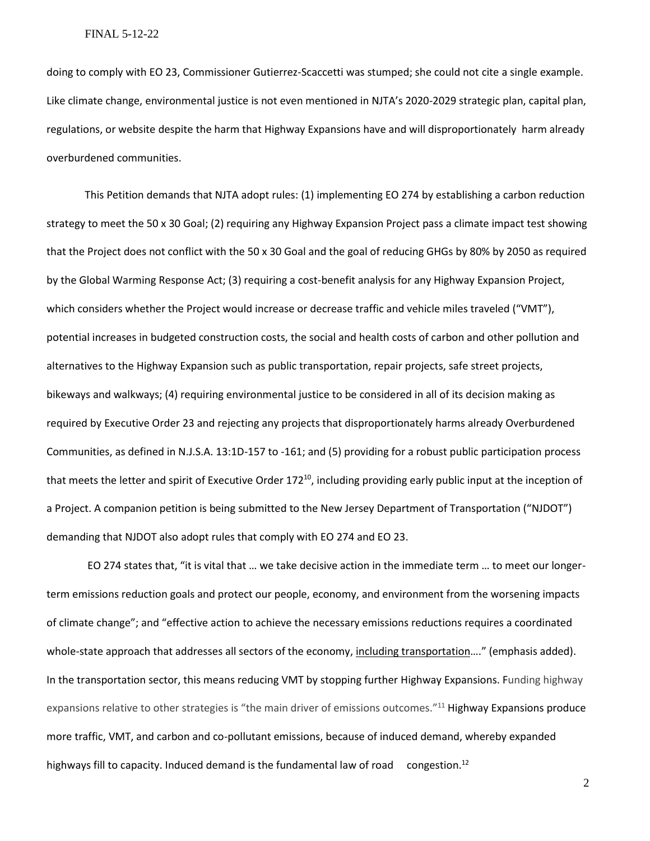doing to comply with EO 23, Commissioner Gutierrez-Scaccetti was stumped; she could not cite a single example. Like climate change, environmental justice is not even mentioned in NJTA's 2020-2029 strategic plan, capital plan, regulations, or website despite the harm that Highway Expansions have and will disproportionately harm already overburdened communities.

This Petition demands that NJTA adopt rules: (1) implementing EO 274 by establishing a carbon reduction strategy to meet the 50 x 30 Goal; (2) requiring any Highway Expansion Project pass a climate impact test showing that the Project does not conflict with the 50 x 30 Goal and the goal of reducing GHGs by 80% by 2050 as required by the Global Warming Response Act; (3) requiring a cost-benefit analysis for any Highway Expansion Project, which considers whether the Project would increase or decrease traffic and vehicle miles traveled ("VMT"), potential increases in budgeted construction costs, the social and health costs of carbon and other pollution and alternatives to the Highway Expansion such as public transportation, repair projects, safe street projects, bikeways and walkways; (4) requiring environmental justice to be considered in all of its decision making as required by Executive Order 23 and rejecting any projects that disproportionately harms already Overburdened Communities, as defined in N.J.S.A. 13:1D-157 to -161; and (5) providing for a robust public participation process that meets the letter and spirit of Executive Order 172<sup>10</sup>, including providing early public input at the inception of a Project. A companion petition is being submitted to the New Jersey Department of Transportation ("NJDOT") demanding that NJDOT also adopt rules that comply with EO 274 and EO 23.

EO 274 states that, "it is vital that … we take decisive action in the immediate term … to meet our longerterm emissions reduction goals and protect our people, economy, and environment from the worsening impacts of climate change"; and "effective action to achieve the necessary emissions reductions requires a coordinated whole-state approach that addresses all sectors of the economy, including transportation…." (emphasis added). In the transportation sector, this means reducing VMT by stopping further Highway Expansions. Funding highway expansions relative to other strategies is "the main driver of emissions outcomes."<sup>11</sup> Highway Expansions produce more traffic, VMT, and carbon and co-pollutant emissions, because of induced demand, whereby expanded highways fill to capacity. Induced demand is the fundamental law of road congestion.<sup>12</sup>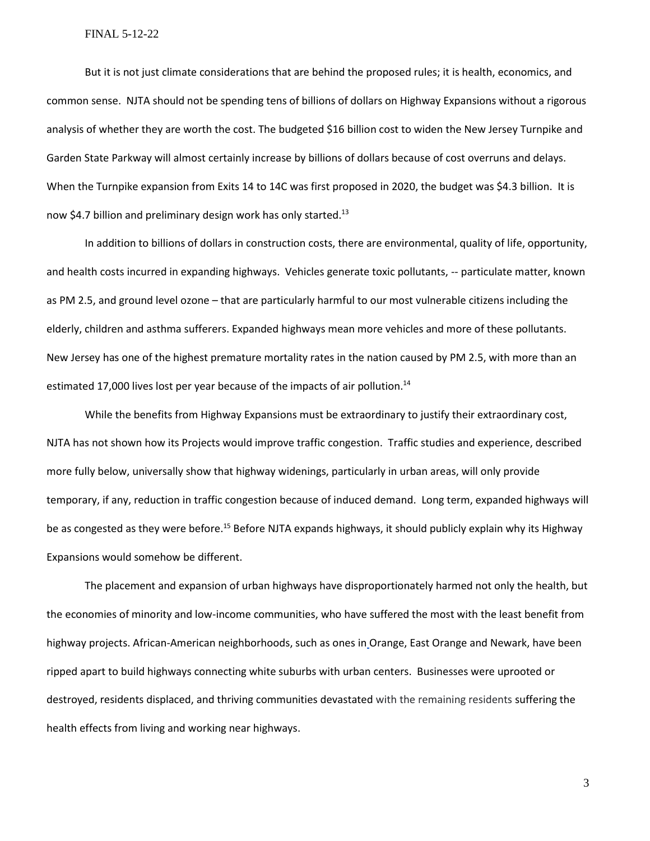But it is not just climate considerations that are behind the proposed rules; it is health, economics, and common sense. NJTA should not be spending tens of billions of dollars on Highway Expansions without a rigorous analysis of whether they are worth the cost. The budgeted \$16 billion cost to widen the New Jersey Turnpike and Garden State Parkway will almost certainly increase by billions of dollars because of cost overruns and delays. When the Turnpike expansion from Exits 14 to 14C was first proposed in 2020, the budget was \$4.3 billion. [It is](https://www.njta.com/media/6149/newark-bay-hudson-county-extension-fact-sheet_final-8-3-21.pdf))  [now \\$4.7 billion and preliminary design work has only started.](https://www.njta.com/media/6149/newark-bay-hudson-county-extension-fact-sheet_final-8-3-21.pdf))<sup>13</sup>

In addition to billions of dollars in construction costs, there are environmental, quality of life, opportunity, and health costs incurred in expanding highways. Vehicles generate toxic pollutants, -- particulate matter, known as PM 2.5, and ground level ozone – that are particularly harmful to our most vulnerable citizens including the elderly, children and asthma sufferers. Expanded highways mean more vehicles and more of these pollutants. New Jersey has one of the highest premature mortality rates in the nation caused by PM 2.5, with more than an estimated 17,000 lives lost per year because of the impacts of air pollution.<sup>14</sup>

While the benefits from Highway Expansions must be extraordinary to justify their extraordinary cost, NJTA has not shown how its Projects would improve traffic congestion. Traffic studies and experience, described more fully below, universally show that highway widenings, particularly in urban areas, will only provide temporary, if any, reduction in traffic congestion because of induced demand. Long term, expanded highways will be as congested as they were before.<sup>15</sup> Before NJTA expands highways, it should publicly explain why its Highway Expansions would somehow be different.

The placement and expansion of urban highways have disproportionately harmed not only the health, but the economies of minority and low-income communities, who have suffered the most with the least benefit from highway projects. African-American neighborhoods, such as ones i[n](https://www.nj.com/news/2016/07/route_280_project_looks_at_downside_of_highway_di.html) [Orange, East Orange and Newark,](https://www.nj.com/news/2016/07/route_280_project_looks_at_downside_of_highway_di.html) have been [ripped apart](https://www.nj.com/essex/2015/12/can_nj_town_split_by_route_280_reconnect.html) to build highways connecting white suburbs with urban centers[. Businesses were uprooted or](http://www.nycroads.com/roads/I-280_NJ/)  [destroyed, residents displaced, and thriving communities devastated](http://www.nycroads.com/roads/I-280_NJ/) with the remaining residents suffering the health effects from living and working near highways.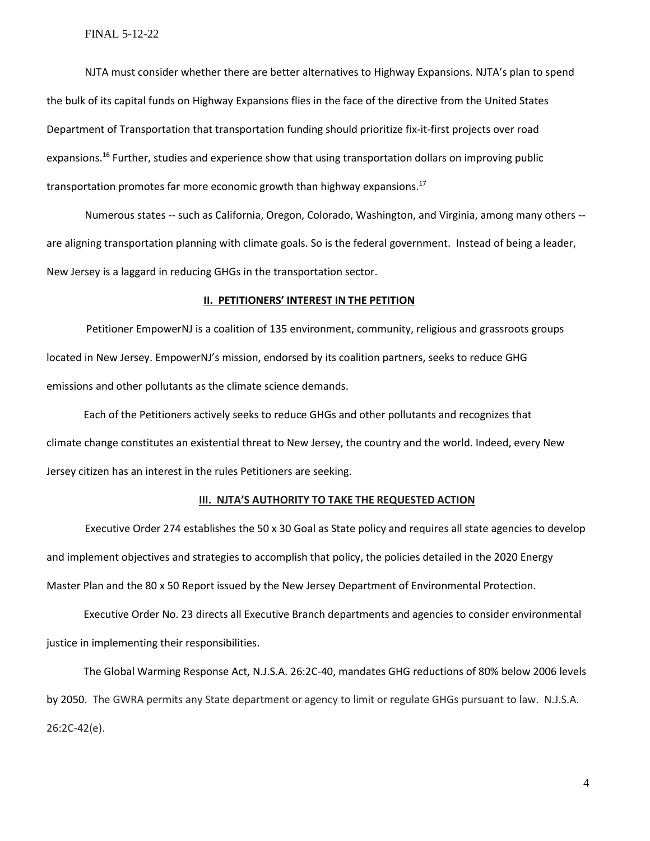NJTA must consider whether there are better alternatives to Highway Expansions. NJTA's plan to spend the bulk of its capital funds on Highway Expansions flies in the face of the directive from the United States Department of Transportation that transportation funding should prioritize fix-it-first projects over road expansions.<sup>16</sup> Further, studies and experience show that using transportation dollars on improving public transportation promotes far more economic growth than highway expansions.<sup>17</sup>

Numerous states -- such as California, Oregon, Colorado, Washington, and Virginia, among many others - are aligning transportation planning with climate goals. So is the federal government. Instead of being a leader, New Jersey is a laggard in reducing GHGs in the transportation sector.

#### **II. PETITIONERS' INTEREST IN THE PETITION**

 Petitioner EmpowerNJ is a coalition of 135 environment, community, religious and grassroots groups located in New Jersey. EmpowerNJ's mission, endorsed by its coalition partners, seeks to reduce GHG emissions and other pollutants as the climate science demands.

 Each of the Petitioners actively seeks to reduce GHGs and other pollutants and recognizes that climate change constitutes an existential threat to New Jersey, the country and the world. Indeed, every New Jersey citizen has an interest in the rules Petitioners are seeking.

### **III. NJTA'S AUTHORITY TO TAKE THE REQUESTED ACTION**

[Executive Order 274](https://nj.gov/infobank/eo/056murphy/pdf/EO-274.pdf) establishes the 50 x 30 Goal as State policy and requires all state agencies to develop and implement objectives and strategies to accomplish that policy, the policies detailed in the 2020 Energy Master Plan and the 80 x 50 Report issued by the New Jersey Department of Environmental Protection.

 [Executive Order No. 23](https://nj.gov/infobank/eo/056murphy/pdf/EO-23.pdf) directs all Executive Branch departments and agencies to consider environmental justice in implementing their responsibilities.

 The Global Warming Response Act, N.J.S.A. 26:2C-40, mandates GHG reductions of 80% below 2006 levels by 2050. The GWRA permits any State department or agency to limit or regulate GHGs pursuant to law. N.J.S.A. 26:2C-42(e).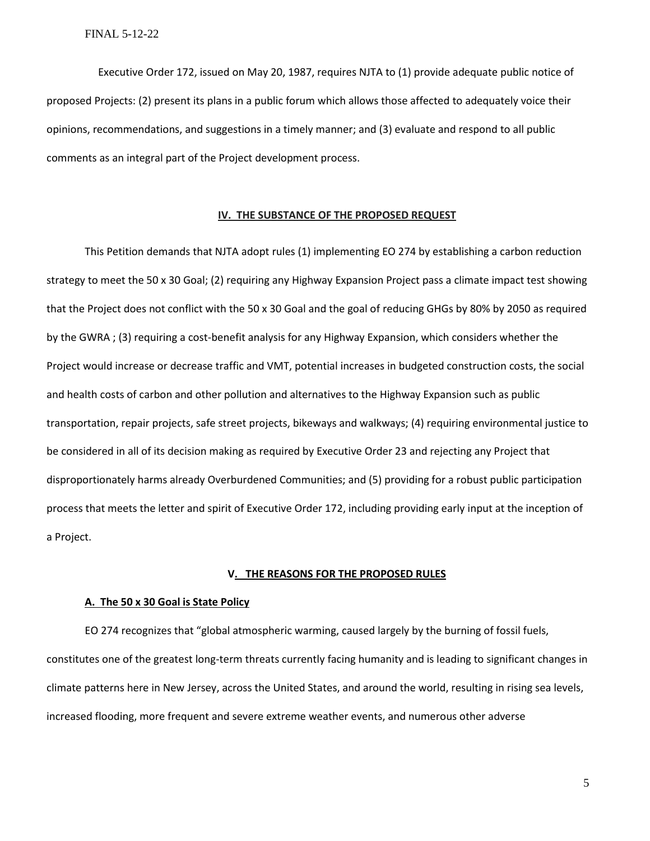Executive Order 172, issued on May 20, 1987, requires NJTA to (1) provide adequate public notice of proposed Projects: (2) present its plans in a public forum which allows those affected to adequately voice their opinions, recommendations, and suggestions in a timely manner; and (3) evaluate and respond to all public comments as an integral part of the Project development process.

#### **IV. THE SUBSTANCE OF THE PROPOSED REQUEST**

This Petition demands that NJTA adopt rules (1) implementing EO 274 by establishing a carbon reduction strategy to meet the 50 x 30 Goal; (2) requiring any Highway Expansion Project pass a climate impact test showing that the Project does not conflict with the 50 x 30 Goal and the goal of reducing GHGs by 80% by 2050 as required by the GWRA ; (3) requiring a cost-benefit analysis for any Highway Expansion, which considers whether the Project would increase or decrease traffic and VMT, potential increases in budgeted construction costs, the social and health costs of carbon and other pollution and alternatives to the Highway Expansion such as public transportation, repair projects, safe street projects, bikeways and walkways; (4) requiring environmental justice to be considered in all of its decision making as required by Executive Order 23 and rejecting any Project that disproportionately harms already Overburdened Communities; and (5) providing for a robust public participation process that meets the letter and spirit of Executive Order 172, including providing early input at the inception of a Project.

## **V. THE REASONS FOR THE PROPOSED RULES**

#### **A. The 50 x 30 Goal is State Policy**

EO 274 recognizes that "global atmospheric warming, caused largely by the burning of fossil fuels, constitutes one of the greatest long-term threats currently facing humanity and is leading to significant changes in climate patterns here in New Jersey, across the United States, and around the world, resulting in rising sea levels, increased flooding, more frequent and severe extreme weather events, and numerous other adverse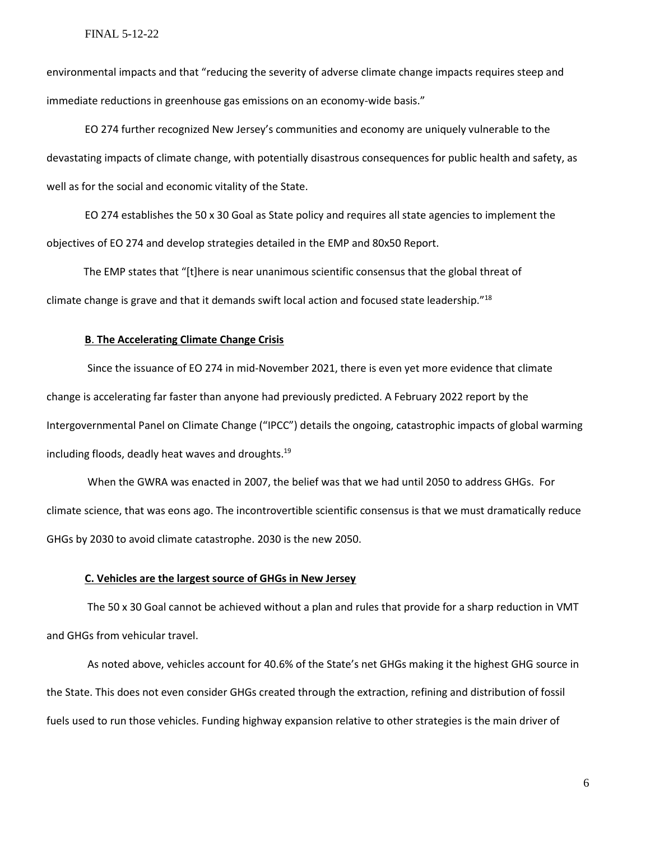environmental impacts and that "reducing the severity of adverse climate change impacts requires steep and immediate reductions in greenhouse gas emissions on an economy-wide basis."

EO 274 further recognized New Jersey's communities and economy are uniquely vulnerable to the devastating impacts of climate change, with potentially disastrous consequences for public health and safety, as well as for the social and economic vitality of the State.

EO 274 establishes the 50 x 30 Goal as State policy and requires all state agencies to implement the objectives of EO 274 and develop strategies detailed in the EMP and 80x50 Report.

 The EMP states that "[t]here is near unanimous scientific consensus that the global threat of climate change is grave and that it demands swift local action and focused state leadership."<sup>18</sup>

## **B**. **The Accelerating Climate Change Crisis**

Since the issuance of EO 274 in mid-November 2021, there is even yet more evidence that climate change is accelerating far faster than anyone had previously predicted. A February 2022 report by the Intergovernmental Panel on Climate Change ("IPCC") details the ongoing, catastrophic impacts of global warming including floods, deadly heat waves and droughts. $^{19}$ 

When the GWRA was enacted in 2007, the belief was that we had until 2050 to address GHGs. For climate science, that was eons ago. The incontrovertible scientific consensus is that we must dramatically reduce GHGs by 2030 to avoid climate catastrophe. 2030 is the new 2050.

#### **C. Vehicles are the largest source of GHGs in New Jersey**

The 50 x 30 Goal cannot be achieved without a plan and rules that provide for a sharp reduction in VMT and GHGs from vehicular travel.

As noted above, vehicles account for 40.6% of the State's net GHGs making it the highest GHG source in the State. This does not even consider GHGs created through the extraction, refining and distribution of fossil fuels used to run those vehicles. Funding highway expansion relative to other strategies is the main driver of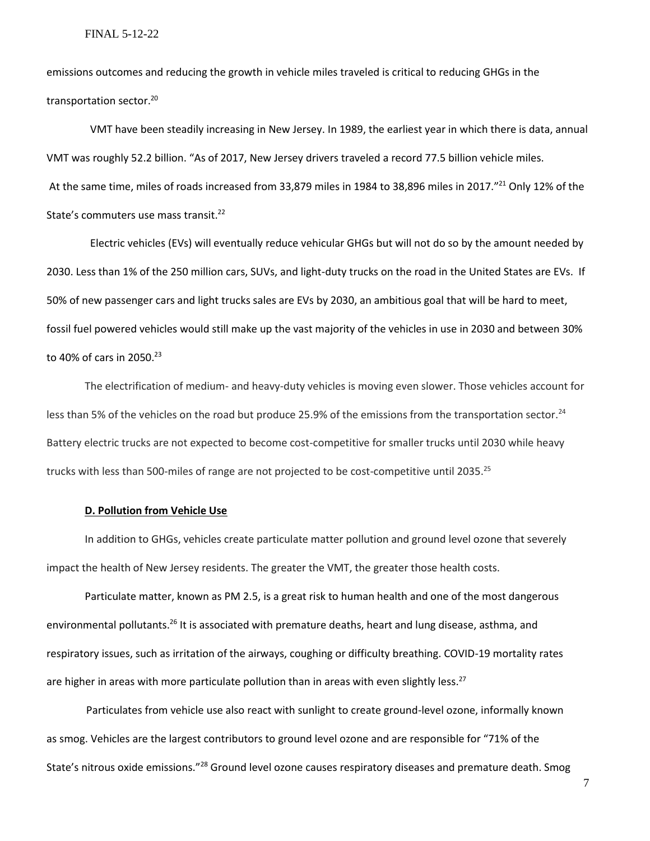emissions outcomes and reducing the growth in vehicle miles traveled is critical to reducing GHGs in the transportation sector.<sup>20</sup>

 VMT have been steadily increasing in New Jersey. In 1989, the earliest year in which there is data, annual VMT was roughly 52.2 billion. "As of 2017, New Jersey drivers traveled a record 77.5 billion vehicle miles. At the same time, miles of roads increased from 33,879 miles in 1984 to 38,896 miles in 2017."<sup>21</sup> Only 12% of the State's commuters use mass transit.<sup>22</sup>

 Electric vehicles (EVs) will eventually reduce vehicular GHGs but will not do so by the amount needed by 2030. Less than 1% of the 250 million cars, SUVs, and light-duty trucks on the road in the United States are EVs. If 50% of new passenger cars and light trucks sales are EVs by 2030, an ambitious goal that will be hard to meet, fossil fuel powered vehicles would still make up the vast majority of the vehicles in use in 2030 and between 30% to 40% of cars in 2050.<sup>23</sup>

The electrification of medium- and heavy-duty vehicles is moving even slower. Those vehicles account for less than 5% of the vehicles on the road but produce 25.9% of the emissions from the transportation sector.<sup>24</sup> Battery electric trucks are not expected to become cost-competitive for smaller trucks until 2030 while heavy trucks with less than 500-miles of range are not projected to be cost-competitive until 2035.<sup>25</sup>

#### **D. Pollution from Vehicle Use**

In addition to GHGs, vehicles create particulate matter pollution and ground level ozone that severely impact the health of New Jersey residents. The greater the VMT, the greater those health costs.

Particulate matter, known as PM 2.5, is a great risk to human health and one of the most dangerous environmental pollutants.<sup>26</sup> It is associated with premature deaths, heart and lung disease, asthma, and respiratory issues, such as irritation of the airways, coughing or difficulty breathing. COVID-19 mortality rates are higher in areas with more particulate pollution than in areas with even slightly less.<sup>27</sup>

 Particulates from vehicle use also react with sunlight to create ground-level ozone, informally known as smog. Vehicles are the largest contributors to ground level ozone and are responsible for "71% of the State's nitrous oxide emissions."<sup>28</sup> Ground level ozone causes respiratory diseases and premature death. Smog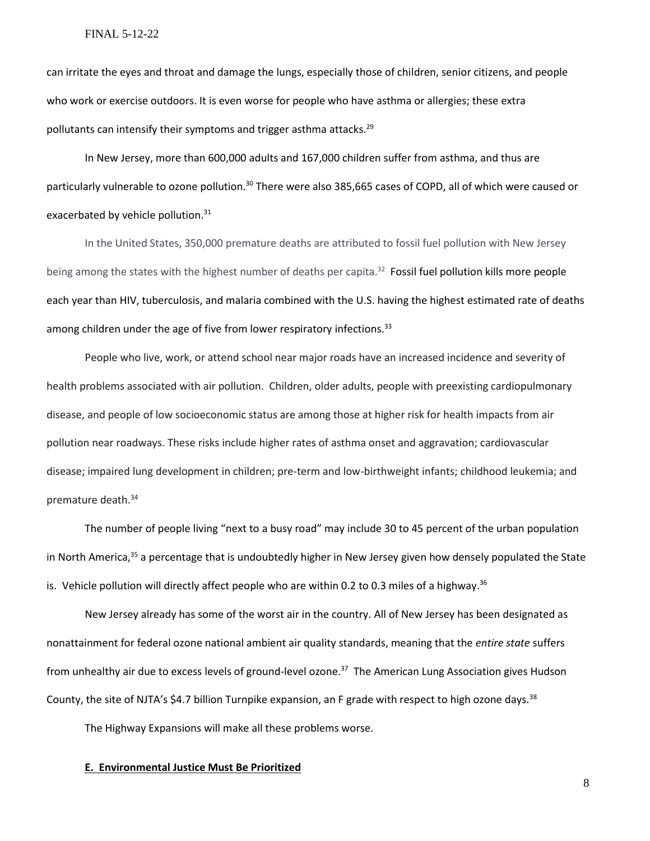can irritate the eyes and throat and damage the lungs, especially those of children, senior citizens, and people who work or exercise outdoors. It is even worse for people who have asthma or allergies; these extra pollutants can intensify their symptoms and trigger asthma attacks.<sup>29</sup>

In New Jersey, more than 600,000 adults and 167,000 children suffer from asthma, and thus are particularly vulnerable to ozone pollution.<sup>30</sup> There were also 385,665 cases of COPD, all of which were caused or exacerbated by vehicle pollution.<sup>31</sup>

In the United States, 350,000 premature deaths are attributed to fossil fuel pollution with New Jersey being among the states with the highest number of deaths per capita.<sup>32</sup> Fossil fuel pollution kills more people each year than HIV, tuberculosis, and malaria combined with the U.S. having the highest estimated rate of deaths among children under the age of five from lower respiratory infections.<sup>33</sup>

People who live, work, or attend school near major roads have an increased incidence and severity of health problems associated with air pollution. Children, older adults, people with preexisting cardiopulmonary disease, and people of low socioeconomic status are among those at higher risk for health impacts from air pollution near roadways. These risks include higher rates of asthma onset and aggravation; cardiovascular disease; impaired lung development in children; pre-term and low-birthweight infants; childhood leukemia; and premature death.<sup>34</sup>

The number of people living "next to a busy road" may include 30 to 45 percent of the urban population in North America, $35$  a percentage that is undoubtedly higher in New Jersey given how densely populated the State is. Vehicle pollution will directly affect people who are within 0.2 to 0.3 miles of a highway.<sup>36</sup>

New Jersey already has some of the worst air in the country. All of New Jersey has been designated as nonattainment for federal ozone national ambient air quality standards, meaning that the *entire state* suffers from unhealthy air due to excess levels of ground-level ozone.<sup>37</sup> The American Lung Association gives Hudson County, the site of NJTA's \$4.7 billion Turnpike expansion, an F grade with respect to high ozone days.<sup>38</sup>

The Highway Expansions will make all these problems worse.

#### **E. Environmental Justice Must Be Prioritized**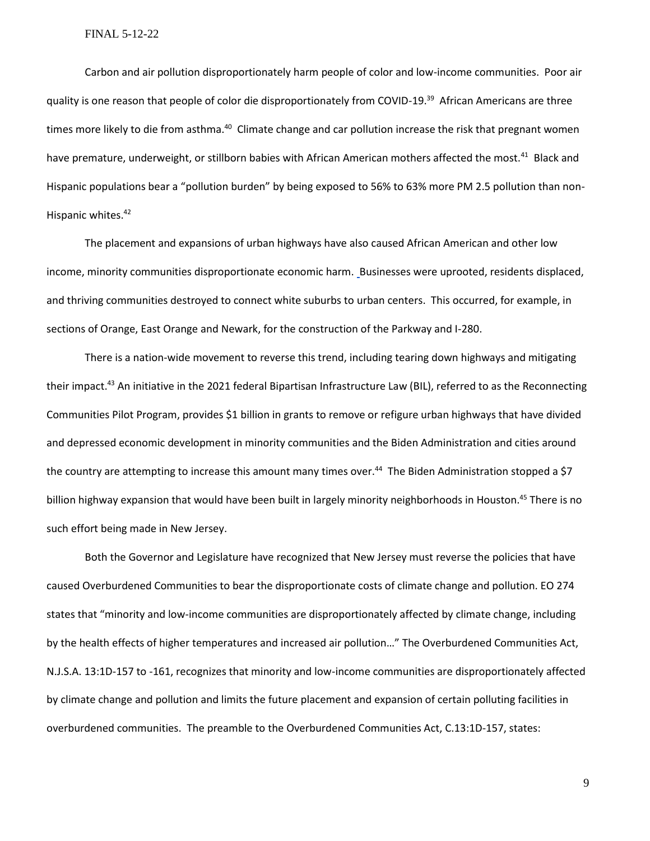Carbon and air pollution disproportionately harm people of color and low-income communities. Poor air quality is one reason that people of color die disproportionately from COVID-19.<sup>39</sup> African Americans are three times more likely to die from asthma.<sup>40</sup> Climate change and car pollution increase the risk that pregnant women have premature, underweight, or stillborn babies with African American mothers affected the most.<sup>41</sup> Black and Hispanic populations bear a "pollution burden" by being exposed to 56% to 63% more PM 2.5 pollution than non-Hispanic whites.<sup>42</sup>

The placement and expansions of urban highways have also caused African American and other low income, minority communities disproportionate economic harm. [Businesses were uprooted, residents displaced,](http://www.nycroads.com/roads/I-280_NJ/)  [and thriving communities destroyed to connect white suburbs to urban centers. This occurred, for example, in](http://www.nycroads.com/roads/I-280_NJ/) [sections of Orange, East Orange and Newark,](https://www.nj.com/news/2016/07/route_280_project_looks_at_downside_of_highway_di.html) for the construction of the Parkway and I-280.

There is a nation-wide movement to reverse this trend, including tearing down highways and mitigating their impact.<sup>43</sup> An initiative in the 2021 federal Bipartisan Infrastructure Law (BIL), referred to as the Reconnecting Communities Pilot Program, provides \$1 billion in grants to remove or refigure urban highways that have divided and depressed economic development in minority communities and the Biden Administration and cities around the country are attempting to increase this amount many times over.<sup>44</sup> The Biden Administration stopped a \$7 billion highway expansion that would have been built in largely minority neighborhoods in Houston.<sup>45</sup> There is no such effort being made in New Jersey.

Both the Governor and Legislature have recognized that New Jersey must reverse the policies that have caused Overburdened Communities to bear the disproportionate costs of climate change and pollution. EO 274 states that "minority and low-income communities are disproportionately affected by climate change, including by the health effects of higher temperatures and increased air pollution…" The Overburdened Communities Act, N.J.S.A. 13:1D-157 to -161, recognizes that minority and low-income communities are disproportionately affected by climate change and pollution and limits the future placement and expansion of certain polluting facilities in overburdened communities. The preamble to the Overburdened Communities Act, C.13:1D-157, states: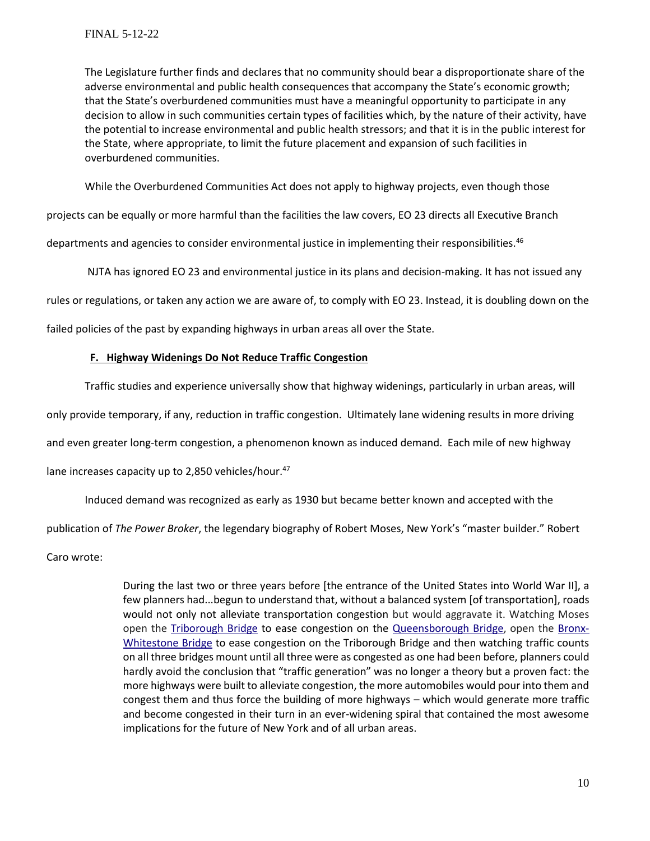The Legislature further finds and declares that no community should bear a disproportionate share of the adverse environmental and public health consequences that accompany the State's economic growth; that the State's overburdened communities must have a meaningful opportunity to participate in any decision to allow in such communities certain types of facilities which, by the nature of their activity, have the potential to increase environmental and public health stressors; and that it is in the public interest for the State, where appropriate, to limit the future placement and expansion of such facilities in overburdened communities.

While the Overburdened Communities Act does not apply to highway projects, even though those

projects can be equally or more harmful than the facilities the law covers, EO 23 directs all Executive Branch

departments and agencies to consider environmental justice in implementing their responsibilities.<sup>46</sup>

NJTA has ignored EO 23 and environmental justice in its plans and decision-making. It has not issued any

rules or regulations, or taken any action we are aware of, to comply with EO 23. Instead, it is doubling down on the

failed policies of the past by expanding highways in urban areas all over the State.

## **F. Highway Widenings Do Not Reduce Traffic Congestion**

Traffic studies and experience universally show that highway widenings, particularly in urban areas, will

only provide temporary, if any, reduction in traffic congestion. Ultimately lane widening results in more driving

and even greater long-term congestion, a phenomenon known as induced demand. Each mile of new highway

lane increases capacity up to 2,850 vehicles/hour.<sup>47</sup>

Induced demand was recognized as early as 1930 but became better known and accepted with the

publication of *The Power Broker*, the legendary biography of Robert Moses, New York's "master builder." Robert

Caro wrote:

During the last two or three years before [the entrance of the United States into World War II], a few planners had...begun to understand that, without a balanced system [of transportation], roads would not only not alleviate transportation congestion but would aggravate it. Watching Moses open the [Triborough Bridge](https://en.wikipedia.org/wiki/Triborough_Bridge) to ease congestion on the [Queensborough Bridge,](https://en.wikipedia.org/wiki/Queensboro_Bridge) open the [Bronx-](https://en.wikipedia.org/wiki/Bronx-Whitestone_Bridge)[Whitestone Bridge](https://en.wikipedia.org/wiki/Bronx-Whitestone_Bridge) to ease congestion on the Triborough Bridge and then watching traffic counts on all three bridges mount until all three were as congested as one had been before, planners could hardly avoid the conclusion that "traffic generation" was no longer a theory but a proven fact: the more highways were built to alleviate congestion, the more automobiles would pour into them and congest them and thus force the building of more highways – which would generate more traffic and become congested in their turn in an ever-widening spiral that contained the most awesome implications for the future of New York and of all urban areas.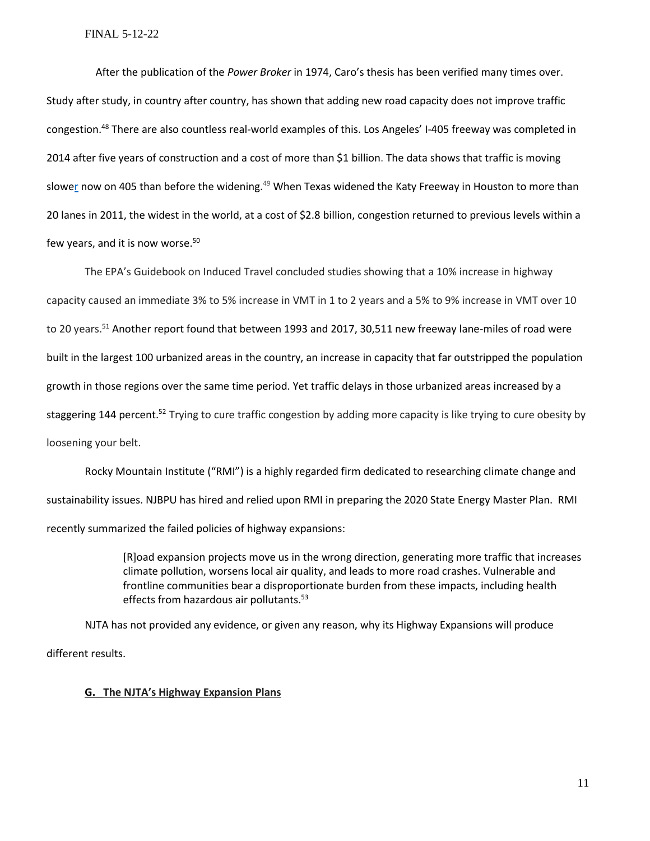After the publication of the *Power Broker* in 1974, Caro's thesis has been verified many times over. Study after study, in country after country, has shown that adding new road capacity does not improve traffic congestion.<sup>48</sup> There are also countless real-world examples of this. Los Angeles' I-405 freeway was completed in 2014 after five years of construction and a cost of [more than](http://media.metro.net/projects_studies/pm/images/pm_october_2013_i405_sepulveda_pass_improvements2.pdf) \$1 billion. The data shows that traffic is moving [slower](http://la.curbed.com/archives/2014/10/405_commutes_now_a_minute_worse_than_before_carpool_lane.php) now on 405 than before the widening.<sup>49</sup> When Texas widened the Katy Freeway in Houston to more than 20 lanes in 2011, the widest in the world, at a cost of \$2.8 billion, congestion returned to previous levels within a few years, and it is now worse. $50$ 

The EPA's Guidebook on Induced Travel concluded studies showing that a 10% increase in highway capacity caused an immediate 3% to 5% increase in VMT in 1 to 2 years and a 5% to 9% increase in VMT over 10 to 20 years.<sup>51</sup> Another report found that between 1993 and 2017, 30,511 new freeway lane-miles of road were built in the largest 100 urbanized areas in the country, an increase in capacity that far outstripped the population growth in those regions over the same time period. Yet traffic delays in those urbanized areas increased by a staggering 144 percent.<sup>52</sup> Trying to cure traffic congestion by adding more capacity is like trying to cure obesity by loosening your belt.

Rocky Mountain Institute ("RMI") is a highly regarded firm dedicated to researching climate change and sustainability issues. NJBPU has hired and relied upon RMI in preparing the 2020 State Energy Master Plan. RMI recently summarized the failed policies of highway expansions:

> [R]oad expansion projects move us in the wrong direction, generating more traffic that increases climate pollution, worsens local air quality, and leads to more road crashes. Vulnerable and frontline communities bear a disproportionate burden from these impacts, including health effects from hazardous air pollutants.<sup>53</sup>

NJTA has not provided any evidence, or given any reason, why its Highway Expansions will produce different results.

## **G. The NJTA's Highway Expansion Plans**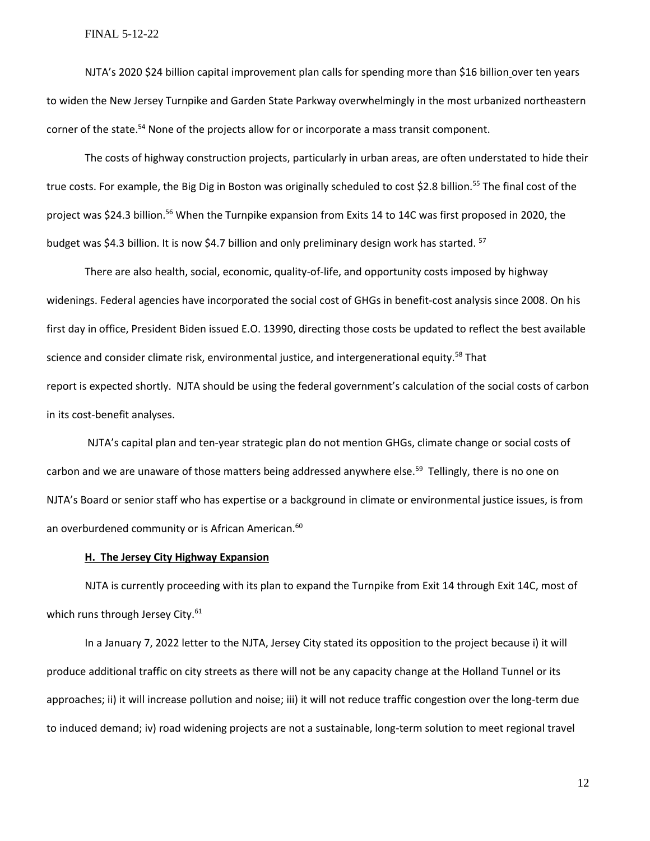NJTA's 2020 \$24 billion capital improvement plan calls for spending more than \$16 billion over ten years to widen the New Jersey Turnpike and Garden State Parkway overwhelmingly in the most urbanized northeastern corner of the state.<sup>54</sup> None of the projects allow for or incorporate a mass transit component.

The costs of highway construction projects, particularly in urban areas, are often understated to hide their true costs. For example, the Big Dig in Boston was originally scheduled to cost \$2.8 billion.<sup>55</sup> The final cost of the project was \$24.3 billion.<sup>56</sup> When the Turnpike expansion from Exits 14 to 14C was first proposed in 2020, the budget was \$4.3 billion. It is now \$4.7 billion and only preliminary design work has started. <sup>57</sup>

There are also health, social, economic, quality-of-life, and opportunity costs imposed by highway widenings. Federal agencies have incorporated the social cost of GHGs in benefit-cost analysis since 2008. On his first day in office, President Biden issued E.O. 13990, directing those costs be updated to reflect the best available science and consider climate risk, environmental justice, and intergenerational equity.<sup>58</sup> That report is expected shortly. NJTA should be using the federal government's calculation of the social costs of carbon in its cost-benefit analyses.

NJTA's capital plan and ten-year strategic plan do not mention GHGs, climate change or social costs of carbon and we are unaware of those matters being addressed anywhere else.<sup>59</sup> Tellingly, there is no one on NJTA's Board or senior staff who has expertise or a background in climate or environmental justice issues, is from an overburdened community or is African American.<sup>60</sup>

## **H. The Jersey City Highway Expansion**

NJTA is currently proceeding with its plan to expand the Turnpike from Exit 14 through Exit 14C, most of which runs through Jersey City.<sup>61</sup>

In a January 7, 2022 letter to the NJTA, Jersey City stated its opposition to the project because i) it will produce additional traffic on city streets as there will not be any capacity change at the Holland Tunnel or its approaches; ii) it will increase pollution and noise; iii) it will not reduce traffic congestion over the long-term due to induced demand; iv) road widening projects are not a sustainable, long-term solution to meet regional travel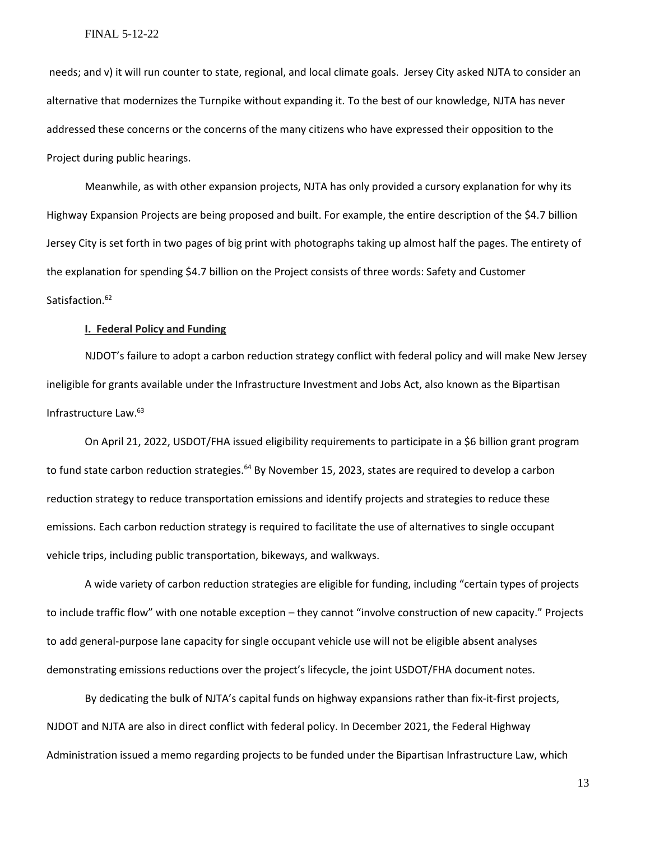needs; and v) it will run counter to state, regional, and local climate goals. Jersey City asked NJTA to consider an alternative that modernizes the Turnpike without expanding it. To the best of our knowledge, NJTA has never addressed these concerns or the concerns of the many citizens who have expressed their opposition to the Project during public hearings.

Meanwhile, as with other expansion projects, NJTA has only provided a cursory explanation for why its Highway Expansion Projects are being proposed and built. For example, the entire description of the \$4.7 billion Jersey City is set forth in two pages of big print with photographs taking up almost half the pages. The entirety of the explanation for spending \$4.7 billion on the Project consists of three words: Safety and Customer Satisfaction. 62

## **I. Federal Policy and Funding**

NJDOT's failure to adopt a carbon reduction strategy conflict with federal policy and will make New Jersey ineligible for grants available under the Infrastructure Investment and Jobs Act, also known as the Bipartisan Infrastructure Law.<sup>63</sup>

On April 21, 2022, USDOT/FHA issued eligibility requirements to participate in a \$6 billion grant program to fund state carbon reduction strategies.<sup>64</sup> By November 15, 2023, states are required to develop a carbon reduction strategy to reduce transportation emissions and identify projects and strategies to reduce these emissions. Each carbon reduction strategy is required to facilitate the use of alternatives to single occupant vehicle trips, including public transportation, bikeways, and walkways.

A wide variety of carbon reduction strategies are eligible for funding, including "certain types of projects to include traffic flow" with one notable exception – they cannot "involve construction of new capacity." Projects to add general-purpose lane capacity for single occupant vehicle use will not be eligible absent analyses demonstrating emissions reductions over the project's lifecycle, the joint USDOT/FHA document notes.

By dedicating the bulk of NJTA's capital funds on highway expansions rather than fix-it-first projects, NJDOT and NJTA are also in direct conflict with federal policy. In December 2021, the Federal Highway Administration issued a memo regarding projects to be funded under the Bipartisan Infrastructure Law, which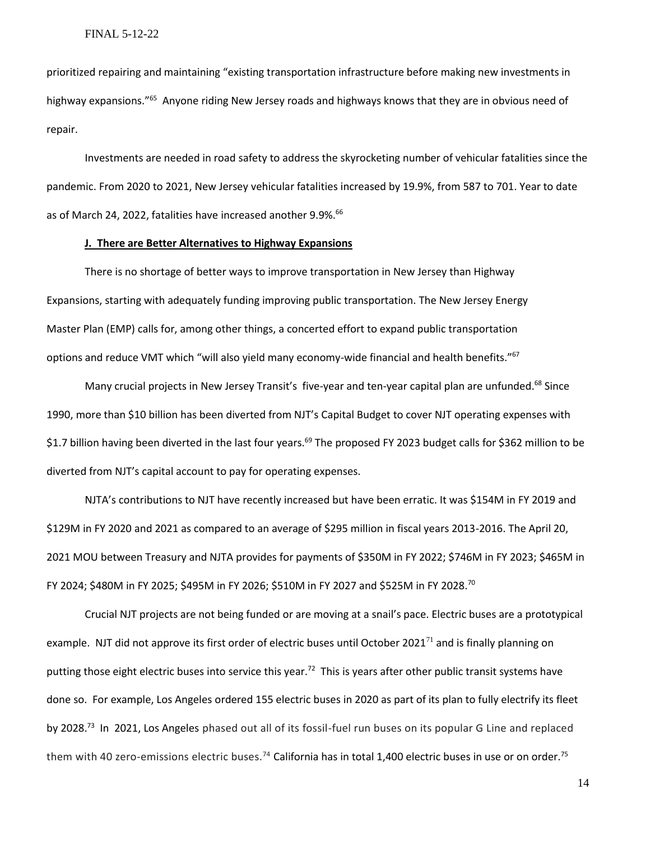prioritized repairing and maintaining "existing transportation infrastructure before making new investments in highway expansions."<sup>65</sup> Anyone riding New Jersey roads and highways knows that they are in obvious need of repair.

Investments are needed in road safety to address the skyrocketing number of vehicular fatalities since the pandemic. From 2020 to 2021, New Jersey vehicular fatalities increased by 19.9%, from 587 to 701. Year to date as of March 24, 2022, fatalities have increased another 9.9%.<sup>66</sup>

#### **J. There are Better Alternatives to Highway Expansions**

There is no shortage of better ways to improve transportation in New Jersey than Highway Expansions, starting with adequately funding improving public transportation. The New Jersey Energy Master Plan (EMP) calls for, among other things, a concerted effort to expand public transportation options and reduce VMT which "will also yield many economy-wide financial and health benefits."<sup>67</sup>

Many crucial projects in New Jersey Transit's five-year and ten-year capital plan are unfunded.<sup>68</sup> Since 1990, more than \$10 billion has been diverted from NJT's Capital Budget to cover NJT operating expenses with \$1.7 billion having been diverted in the last four years.<sup>69</sup> The proposed FY 2023 budget calls for \$362 million to be diverted from NJT's capital account to pay for operating expenses.

NJTA's contributions to NJT have recently increased but have been erratic. It was \$154M in FY 2019 and \$129M in FY 2020 and 2021 as compared to an average of \$295 million in fiscal years 2013-2016. The April 20, 2021 MOU between Treasury and NJTA provides for payments of \$350M in FY 2022; \$746M in FY 2023; \$465M in FY 2024; \$480M in FY 2025; \$495M in FY 2026; \$510M in FY 2027 and \$525M in FY 2028.<sup>70</sup>

Crucial NJT projects are not being funded or are moving at a snail's pace. Electric buses are a prototypical example. NJT did not approve its first order of electric buses until October 2021 $^{71}$  and is finally planning on putting those eight electric buses into service this year.<sup>72</sup> This is years after other public transit systems have done so. For example, Los Angeles ordered 155 electric buses in 2020 as part of its plan to fully electrify its fleet by 2028.<sup>73</sup> In 2021, Los Angeles phased out all of its fossil-fuel run buses on its popular G Line and replaced them with 40 zero-emissions electric buses.<sup>74</sup> California has in total 1,400 electric buses in use or on order.<sup>75</sup>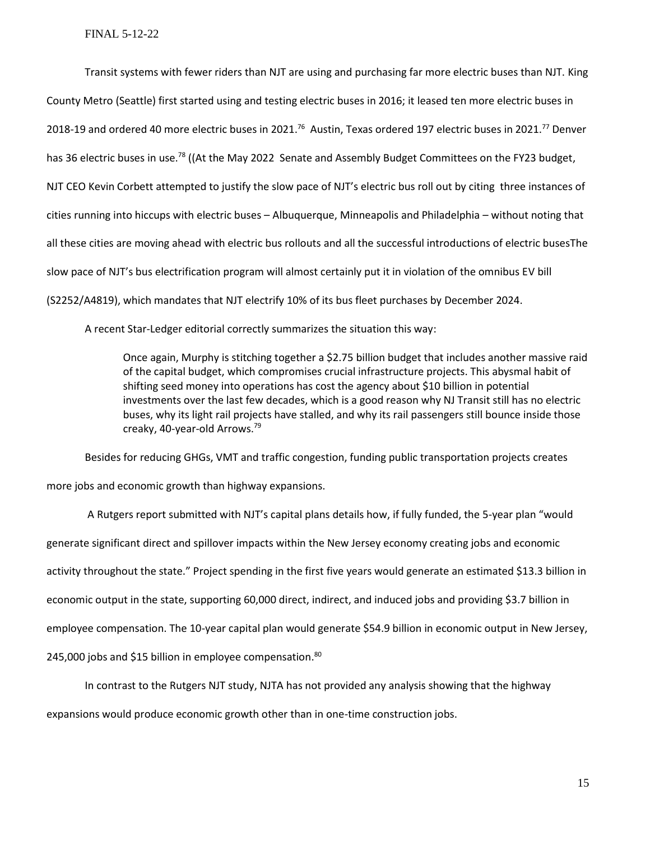Transit systems with fewer riders than NJT are using and purchasing far more electric buses than NJT. King County Metro (Seattle) first started using and testing electric buses in 2016; it leased ten more electric buses in 2018-19 and ordered 40 more electric buses in 2021.<sup>76</sup> Austin, Texas ordered 197 electric buses in 2021.<sup>77</sup> Denver has 36 electric buses in use.<sup>78</sup> ((At the May 2022 Senate and Assembly Budget Committees on the FY23 budget, NJT CEO Kevin Corbett attempted to justify the slow pace of NJT's electric bus roll out by citing three instances of cities running into hiccups with electric buses – Albuquerque, Minneapolis and Philadelphia – without noting that all these cities are moving ahead with electric bus rollouts and all the successful introductions of electric busesThe slow pace of NJT's bus electrification program will almost certainly put it in violation of the omnibus EV bill (S2252/A4819), which mandates that NJT electrify 10% of its bus fleet purchases by December 2024.

A recent Star-Ledger editorial correctly summarizes the situation this way:

Once again, Murphy is stitching together a \$2.75 billion budget that includes another massive raid of the capital budget, which compromises crucial infrastructure projects. This abysmal habit of shifting seed money into operations has cost the agency about \$10 billion in potential investments over the last few decades, which is a good reason why NJ Transit still has no electric buses, why its light rail projects have stalled, and why its rail passengers still bounce inside those creaky, 40-year-old Arrows.<sup>79</sup>

Besides for reducing GHGs, VMT and traffic congestion, funding public transportation projects creates

more jobs and economic growth than highway expansions.

A Rutgers report submitted with NJT's capital plans details how, if fully funded, the 5-year plan "would generate significant direct and spillover impacts within the New Jersey economy creating jobs and economic activity throughout the state." Project spending in the first five years would generate an estimated \$13.3 billion in economic output in the state, supporting 60,000 direct, indirect, and induced jobs and providing \$3.7 billion in employee compensation. The 10-year capital plan would generate \$54.9 billion in economic output in New Jersey, 245,000 jobs and \$15 billion in employee compensation.<sup>80</sup>

In contrast to the Rutgers NJT study, NJTA has not provided any analysis showing that the highway

expansions would produce economic growth other than in one-time construction jobs.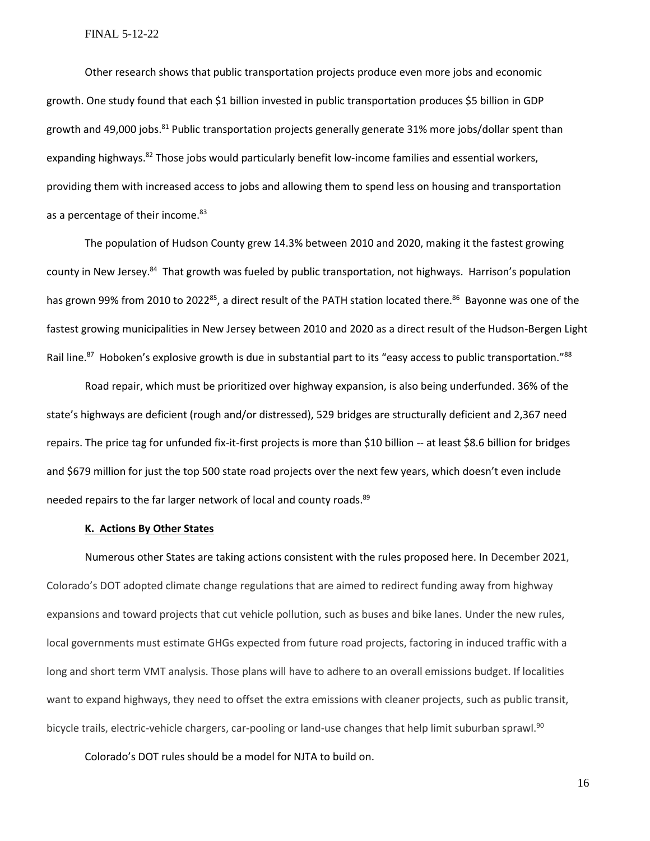Other research shows that public transportation projects produce even more jobs and economic growth. One study found that each \$1 billion invested in public transportation produces \$5 billion in GDP growth and 49,000 jobs.<sup>81</sup> Public transportation projects generally generate 31% more jobs/dollar spent than expanding highways.<sup>82</sup> Those jobs would particularly benefit low-income families and essential workers, providing them with increased access to jobs and allowing them to spend less on housing and transportation as a percentage of their income.<sup>83</sup>

The population of Hudson County grew 14.3% between 2010 and 2020, making it the fastest growing county in New Jersey.<sup>84</sup> That growth was fueled by public transportation, not highways. Harrison's population has grown 99% from 2010 to 2022<sup>85</sup>, a direct result of the PATH station located there.<sup>86</sup> Bayonne was one of the fastest growing municipalities in New Jersey between 2010 and 2020 as a direct result of the Hudson-Bergen Light Rail line.<sup>87</sup> Hoboken's explosive growth is due in substantial part to its "easy access to public transportation."<sup>88</sup>

Road repair, which must be prioritized over highway expansion, is also being underfunded. 36% of the state's highways are deficient (rough and/or distressed), 529 bridges are structurally deficient and 2,367 need repairs. The price tag for unfunded fix-it-first projects is more than \$10 billion -- at least \$8.6 billion for bridges and \$679 million for just the top 500 state road projects over the next few years, which doesn't even include needed repairs to the far larger network of local and county roads.<sup>89</sup>

#### **K. Actions By Other States**

Numerous other States are taking actions consistent with the rules proposed here. In December 2021, Colorado's DOT adopted climate change regulations that are aimed to redirect funding away from highway expansions and toward projects that cut vehicle pollution, such as buses and bike lanes. Under the new rules, local governments must estimate GHGs expected from future road projects, factoring in induced traffic with a long and short term VMT analysis. Those plans will have to adhere to an overall emissions budget. If localities want to expand highways, they need to offset the extra emissions with cleaner projects, such as public transit, bicycle trails, electric-vehicle chargers, car-pooling or land-use changes that help limit suburban sprawl.<sup>90</sup>

Colorado's DOT rules should be a model for NJTA to build on.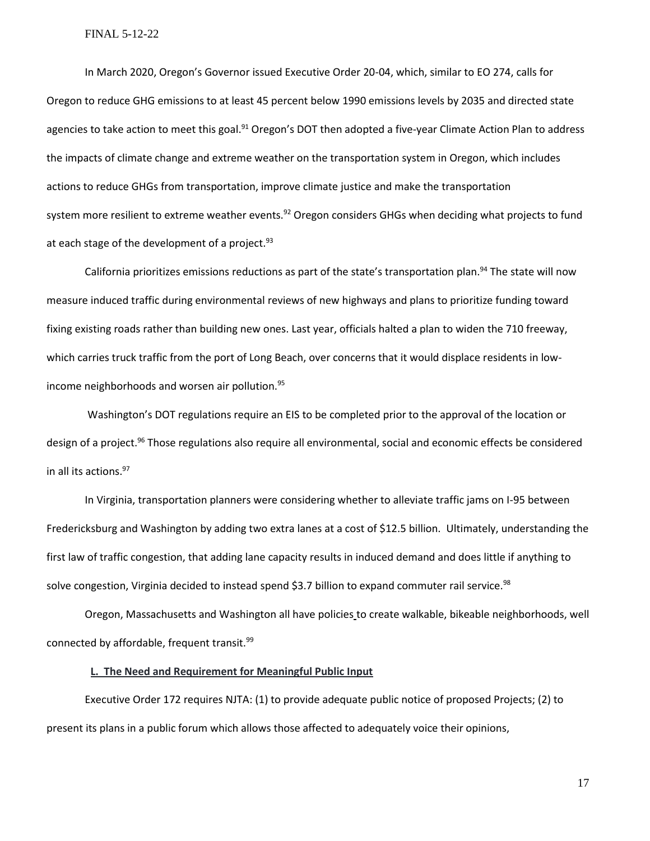In March 2020, Oregon's Governor issued Executive Order 20-04, which, similar to EO 274, calls for Oregon to reduce GHG emissions to at least 45 percent below 1990 emissions levels by 2035 and directed state agencies to take action to meet this goal.<sup>91</sup> Oregon's DOT then adopted a five-year Climate Action Plan to address the impacts of climate change and extreme weather on the transportation system in Oregon, which includes actions to reduce GHGs from transportation, improve climate justice and make the transportation system more resilient to extreme weather events.<sup>92</sup> Oregon considers GHGs when deciding what projects to fund at each stage of the development of a project.<sup>93</sup>

California prioritizes emissions reductions as part of the state's transportation plan.<sup>94</sup> The state will now measure induced traffic during environmental reviews of new highways and plans to prioritize funding toward fixing existing roads rather than building new ones. Last year, officials halted a plan to widen the 710 freeway, which carries truck traffic from the port of Long Beach, over concerns that it would displace residents in lowincome neighborhoods and worsen air pollution.<sup>95</sup>

Washington's DOT regulations require an EIS to be completed prior to the approval of the location or design of a project.<sup>96</sup> Those regulations also require all environmental, social and economic effects be considered in all its actions.<sup>97</sup>

In Virginia, transportation planners were considering whether to alleviate traffic jams on I-95 between Fredericksburg and Washington by adding two extra lanes at a cost of \$12.5 billion. Ultimately, understanding the first law of traffic congestion, that adding lane capacity results in induced demand and does little if anything to solve congestion, Virginia decided to instead spend \$3.7 billion to expand commuter rail service.<sup>98</sup>

Oregon, Massachusetts and Washington all have policies to create walkable, bikeable neighborhoods, well connected by affordable, frequent transit.<sup>99</sup>

## E**L. The Need and Requirement for Meaningful Public Input**

Executive Order 172 requires NJTA: (1) to provide adequate public notice of proposed Projects; (2) to present its plans in a public forum which allows those affected to adequately voice their opinions,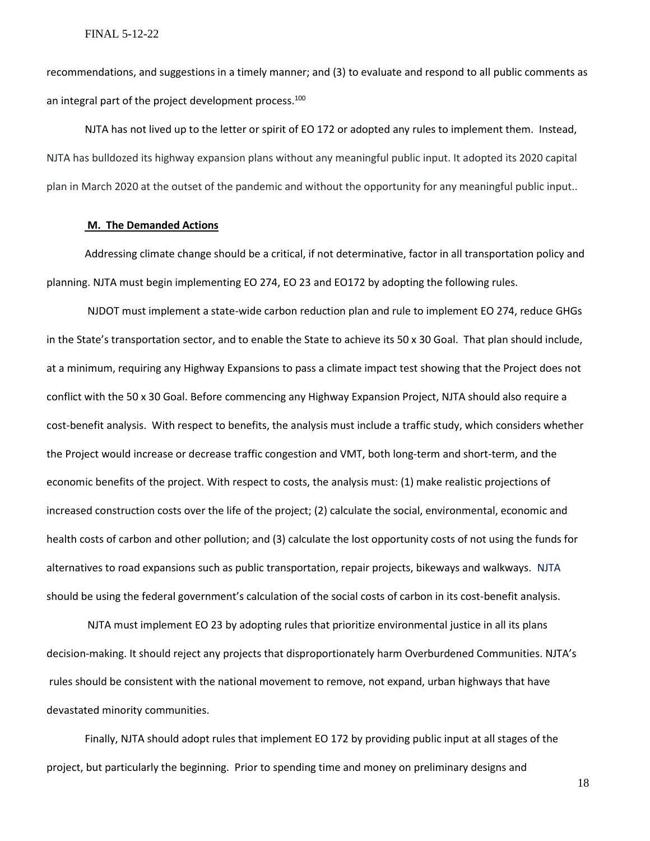recommendations, and suggestions in a timely manner; and (3) to evaluate and respond to all public comments as an integral part of the project development process.<sup>100</sup>

NJTA has not lived up to the letter or spirit of EO 172 or adopted any rules to implement them. Instead, NJTA has bulldozed its highway expansion plans without any meaningful public input. It adopted its 2020 capital plan in March 2020 at the outset of the pandemic and without the opportunity for any meaningful public input..

#### **M. The Demanded Actions**

Addressing climate change should be a critical, if not determinative, factor in all transportation policy and planning. NJTA must begin implementing EO 274, EO 23 and EO172 by adopting the following rules.

NJDOT must implement a state-wide carbon reduction plan and rule to implement EO 274, reduce GHGs in the State's transportation sector, and to enable the State to achieve its 50 x 30 Goal. That plan should include, at a minimum, requiring any Highway Expansions to pass a climate impact test showing that the Project does not conflict with the 50 x 30 Goal. Before commencing any Highway Expansion Project, NJTA should also require a cost-benefit analysis. With respect to benefits, the analysis must include a traffic study, which considers whether the Project would increase or decrease traffic congestion and VMT, both long-term and short-term, and the economic benefits of the project. With respect to costs, the analysis must: (1) make realistic projections of increased construction costs over the life of the project; (2) calculate the social, environmental, economic and health costs of carbon and other pollution; and (3) calculate the lost opportunity costs of not using the funds for alternatives to road expansions such as public transportation, repair projects, bikeways and walkways. NJTA should be using the federal government's calculation of the social costs of carbon in its cost-benefit analysis.

NJTA must implement EO 23 by adopting rules that prioritize environmental justice in all its plans decision-making. It should reject any projects that disproportionately harm Overburdened Communities. NJTA's rules should be consistent with the national movement to remove, not expand, urban highways that have devastated minority communities.

Finally, NJTA should adopt rules that implement EO 172 by providing public input at all stages of the project, but particularly the beginning. Prior to spending time and money on preliminary designs and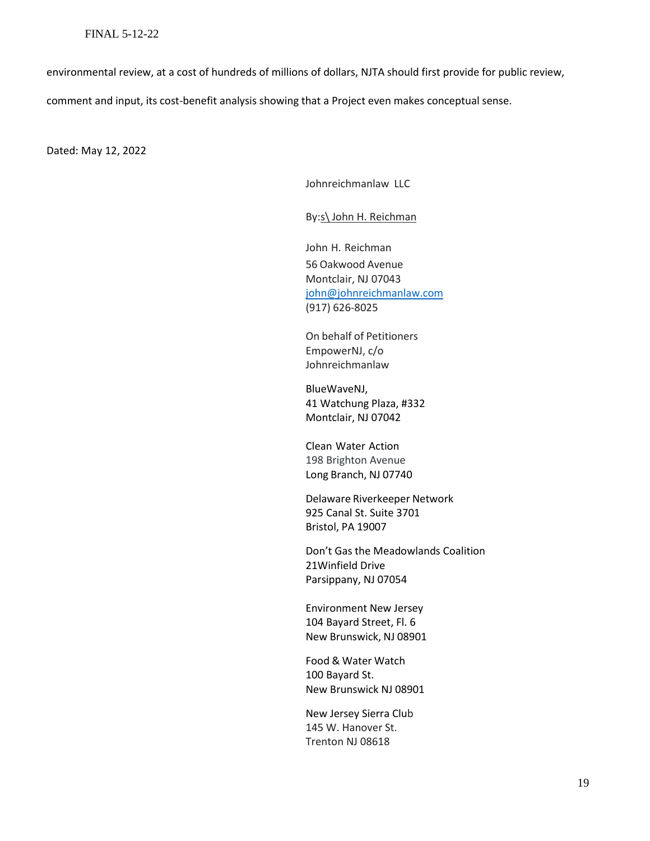environmental review, at a cost of hundreds of millions of dollars, NJTA should first provide for public review,

comment and input, its cost-benefit analysis showing that a Project even makes conceptual sense.

Dated: May 12, 2022

Johnreichmanlaw LLC

## By:s\ John H. Reichman

John H. Reichman 56 Oakwood Avenue Montclair, NJ 07043 [john@johnreichmanlaw.com](mailto:john@johnreichmanlaw.com) (917) 626-8025

On behalf of Petitioners EmpowerNJ, c/o Johnreichmanlaw

BlueWaveNJ, 41 Watchung Plaza, #332 Montclair, NJ 07042

Clean Water Action 198 Brighton Avenue Long Branch, NJ 07740

Delaware Riverkeeper Network 925 Canal St. Suite 3701 Bristol, PA 19007

Don't Gas the Meadowlands Coalition 21Winfield Drive Parsippany, NJ 07054

Environment New Jersey 104 Bayard Street, Fl. 6 New Brunswick, NJ 08901

Food & Water Watch 100 Bayard St. New Brunswick NJ 08901

New Jersey Sierra Club 145 W. Hanover St. Trenton NJ 08618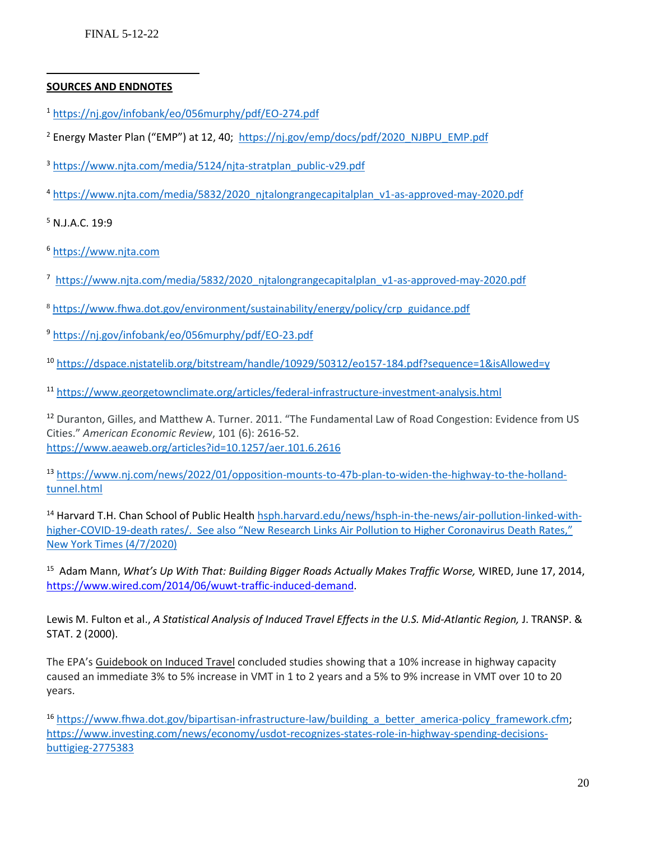# **SOURCES AND ENDNOTES**

- <sup>1</sup> <https://nj.gov/infobank/eo/056murphy/pdf/EO-274.pdf>
- <sup>2</sup> Energy Master Plan ("EMP") at 12, 40; [https://nj.gov/emp/docs/pdf/2020\\_NJBPU\\_EMP.pdf](https://nj.gov/emp/docs/pdf/2020_NJBPU_EMP.pdf)
- <sup>3</sup> [https://www.njta.com/media/5124/njta-stratplan\\_public-v29.pdf](https://www.njta.com/media/5124/njta-stratplan_public-v29.pdf)
- <sup>4</sup> [https://www.njta.com/media/5832/2020\\_njtalongrangecapitalplan\\_v1-as-approved-may-2020.pdf](https://www.njta.com/media/5832/2020_njtalongrangecapitalplan_v1-as-approved-may-2020.pdf)

<sup>5</sup> N.J.A.C. 19:9

- <sup>6</sup> [https://www.njta.com](https://www.njta.com/)
- <sup>7</sup> https://www.njta.com/media/5832/2020 njtalongrangecapitalplan\_v1-as-approved-may-2020.pdf
- <sup>8</sup> [https://www.fhwa.dot.gov/environment/sustainability/energy/policy/crp\\_guidance.pdf](https://www.fhwa.dot.gov/environment/sustainability/energy/policy/crp_guidance.pdf)
- <sup>9</sup> <https://nj.gov/infobank/eo/056murphy/pdf/EO-23.pdf>
- <sup>10</sup> <https://dspace.njstatelib.org/bitstream/handle/10929/50312/eo157-184.pdf?sequence=1&isAllowed=y>
- <sup>11</sup> <https://www.georgetownclimate.org/articles/federal-infrastructure-investment-analysis.html>

<sup>12</sup> Duranton, Gilles, and Matthew A. Turner. 2011. "The Fundamental Law of Road Congestion: Evidence from US Cities." *American Economic Review*, 101 (6): 2616-52. <https://www.aeaweb.org/articles?id=10.1257/aer.101.6.2616>

<sup>13</sup> [https://www.nj.com/news/2022/01/opposition-mounts-to-47b-plan-to-widen-the-highway-to-the-holland](https://www.nj.com/news/2022/01/opposition-mounts-to-47b-plan-to-widen-the-highway-to-the-holland-tunnel.html)[tunnel.html](https://www.nj.com/news/2022/01/opposition-mounts-to-47b-plan-to-widen-the-highway-to-the-holland-tunnel.html)

<sup>14</sup> Harvard T.H. Chan School of Public Health **hsph.harvard.edu/news/hsph-in-the-news/air-pollution-linked-with**higher-COVID-19-death rates/. See also "New Research Links Air Pollution to Higher Coronavirus Death Rates," New York Times (4/7/2020)

15 Adam Mann, *What's Up With That: Building Bigger Roads Actually Makes Traffic Worse,* WIRED, June 17, 2014, [https://www.wired.com/2014/06/wuwt-traffic-induced-demand.](https://www.wired.com/2014/06/wuwt-traffic-induced-demand)

Lewis M. Fulton et al., *A Statistical Analysis of Induced Travel Effects in the U.S. Mid-Atlantic Region*, J. TRANSP. & STAT. 2 (2000).

The EPA's Guidebook on Induced Travel concluded studies showing that a 10% increase in highway capacity caused an immediate 3% to 5% increase in VMT in 1 to 2 years and a 5% to 9% increase in VMT over 10 to 20 years.

<sup>16</sup> [https://www.fhwa.dot.gov/bipartisan-infrastructure-law/building\\_a\\_better\\_america-policy\\_framework.cfm;](https://www.fhwa.dot.gov/bipartisan-infrastructure-law/building_a_better_america-policy_framework.cfm) [https://www.investing.com/news/economy/usdot-recognizes-states-role-in-highway-spending-decisions](https://www.investing.com/news/economy/usdot-recognizes-states-role-in-highway-spending-decisions-buttigieg-2775383)[buttigieg-2775383](https://www.investing.com/news/economy/usdot-recognizes-states-role-in-highway-spending-decisions-buttigieg-2775383)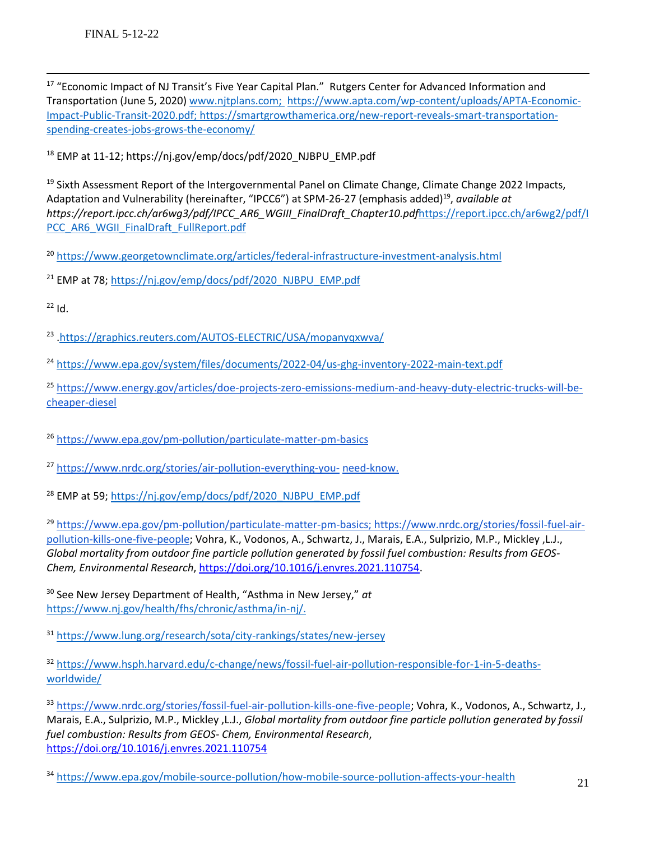<sup>17</sup> "Economic Impact of NJ Transit's Five Year Capital Plan." Rutgers Center for Advanced Information and Transportation (June 5, 2020) [www.njtplans.com;](http://www.njtplans.com/) [https://www.apta.com/wp-content/uploads/APTA-Economic-](https://www.apta.com/wp-content/uploads/APTA-Economic-Impact-Public-Transit-2020.pdf)[Impact-Public-Transit-2020.pdf;](https://www.apta.com/wp-content/uploads/APTA-Economic-Impact-Public-Transit-2020.pdf) [https://smartgrowthamerica.org/new-report-reveals-smart-transportation](https://smartgrowthamerica.org/new-report-reveals-smart-transportation-spending-creates-jobs-grows-the-economy/)[spending-creates-jobs-grows-the-economy/](https://smartgrowthamerica.org/new-report-reveals-smart-transportation-spending-creates-jobs-grows-the-economy/)

<sup>18</sup> EMP at 11-12; https://nj.gov/emp/docs/pdf/2020\_NJBPU\_EMP.pdf

<sup>19</sup> Sixth Assessment Report of the Intergovernmental Panel on Climate Change, Climate Change 2022 Impacts, Adaptation and Vulnerability (hereinafter, "IPCC6") at SPM-26-27 (emphasis added)<sup>19</sup>, available at *https://report.ipcc.ch/ar6wg3/pdf/IPCC\_AR6\_WGIII\_FinalDraft\_Chapter10.pdf*[https://report.ipcc.ch/ar6wg2/pdf/I](https://report.ipcc.ch/ar6wg2/pdf/IPCC_AR6_WGII_FinalDraft_FullReport.pdf) [PCC\\_AR6\\_WGII\\_FinalDraft\\_FullReport.pdf](https://report.ipcc.ch/ar6wg2/pdf/IPCC_AR6_WGII_FinalDraft_FullReport.pdf)

<sup>20</sup> https://www.georgetownclimate.org/articles/federal-infrastructure-investment-analysis.html

<sup>21</sup> EMP at 78; [https://nj.gov/emp/docs/pdf/2020\\_NJBPU\\_EMP.pdf](https://nj.gov/emp/docs/pdf/2020_NJBPU_EMP.pdf)

 $22$  Id.

23 [.https://graphics.reuters.com/AUTOS-ELECTRIC/USA/mopanyqxwva/](https://graphics.reuters.com/AUTOS-ELECTRIC/USA/mopanyqxwva/)

<sup>24</sup> <https://www.epa.gov/system/files/documents/2022-04/us-ghg-inventory-2022-main-text.pdf>

<sup>25</sup> [https://www.energy.gov/articles/doe-projects-zero-emissions-medium-and-heavy-duty-electric-trucks-will-be](https://www.energy.gov/articles/doe-projects-zero-emissions-medium-and-heavy-duty-electric-trucks-will-be-cheaper-diesel)[cheaper-diesel](https://www.energy.gov/articles/doe-projects-zero-emissions-medium-and-heavy-duty-electric-trucks-will-be-cheaper-diesel)

<sup>26</sup> <https://www.epa.gov/pm-pollution/particulate-matter-pm-basics>

<sup>27</sup> [https://www.nrdc.org/stories/air-pollution-everything-you-](https://www.nrdc.org/stories/air-pollution-everything-you-need-know) [need-know.](https://www.nrdc.org/stories/air-pollution-everything-you-need-know)

<sup>28</sup> EMP at 59; [https://nj.gov/emp/docs/pdf/2020\\_NJBPU\\_EMP.pdf](https://nj.gov/emp/docs/pdf/2020_NJBPU_EMP.pdf)

<sup>29</sup> [https://www.epa.gov/pm-pollution/particulate-matter-pm-basics;](https://www.epa.gov/pm-pollution/particulate-matter-pm-basics) [https://www.nrdc.org/stories/fossil-fuel-air](https://www.nrdc.org/stories/fossil-fuel-air-pollution-kills-one-five-people)[pollution-kills-one-five-people;](https://www.nrdc.org/stories/fossil-fuel-air-pollution-kills-one-five-people) Vohra, K., Vodonos, A., Schwartz, J., Marais, E.A., Sulprizio, M.P., Mickley ,L.J., *Global mortality from outdoor fine particle pollution generated by fossil fuel combustion: Results from GEOS-Chem, Environmental Research*[, https://doi.org/10.1016/j.envres.2021.110754.](https://doi.org/10.1016/j.envres.2021.110754)

<sup>30</sup> See New Jersey Department of Health, "Asthma in New Jersey," *at*  [https://www.nj.gov/health/fhs/chronic/asthma/in-nj/.](https://www.nj.gov/health/fhs/chronic/asthma/in-nj/)

<sup>31</sup> <https://www.lung.org/research/sota/city-rankings/states/new-jersey>

32 [https://www.hsph.harvard.edu/c-change/news/fossil-fuel-air-pollution-responsible-for-1-in-5-deaths](https://www.hsph.harvard.edu/c-change/news/fossil-fuel-air-pollution-responsible-for-1-in-5-deaths-worldwide/)[worldwide/](https://www.hsph.harvard.edu/c-change/news/fossil-fuel-air-pollution-responsible-for-1-in-5-deaths-worldwide/)

33 [https://www.nrdc.org/stories/fossil-fuel-air-pollution-kills-one-five-people;](https://www.nrdc.org/stories/fossil-fuel-air-pollution-kills-one-five-people) Vohra, K., Vodonos, A., Schwartz, J., Marais, E.A., Sulprizio, M.P., Mickley ,L.J., *Global mortality from outdoor fine particle pollution generated by fossil fuel combustion: Results from GEOS- Chem, Environmental Research*, <https://doi.org/10.1016/j.envres.2021.110754>

<sup>34</sup> <https://www.epa.gov/mobile-source-pollution/how-mobile-source-pollution-affects-your-health>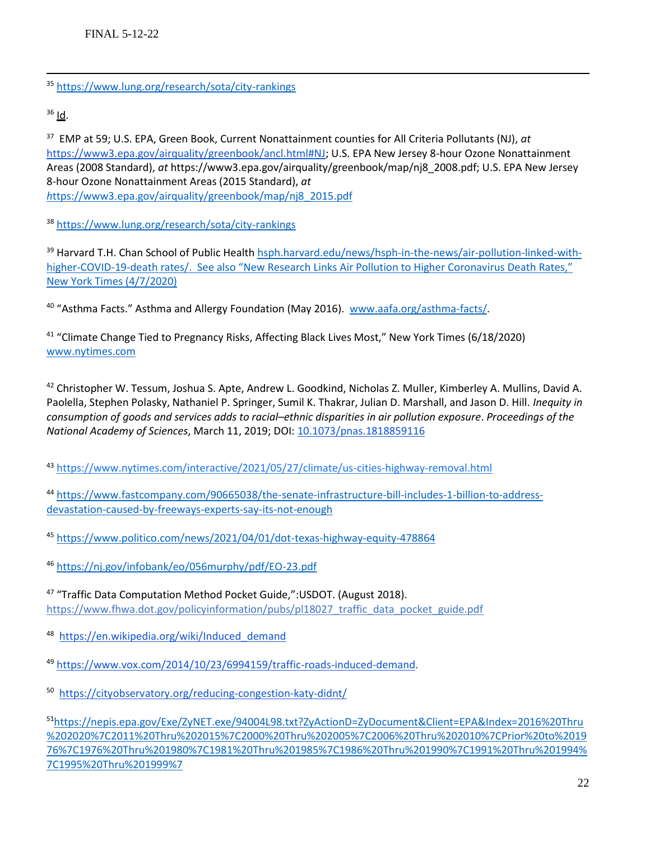<sup>35</sup> <https://www.lung.org/research/sota/city-rankings>

<sup>36</sup> Id.

<sup>37</sup> EMP at 59; U.S. EPA, Green Book, Current Nonattainment counties for All Criteria Pollutants (NJ), *at* [https://www3.epa.gov/airquality/greenbook/ancl.html#NJ;](https://www3.epa.gov/airquality/greenbook/ancl.html#NJ) U.S. EPA New Jersey 8-hour Ozone Nonattainment Areas (2008 Standard), *at* https://www3.epa.gov/airquality/greenbook/map/nj8\_2008.pdf; U.S. EPA New Jersey 8-hour Ozone Nonattainment Areas (2015 Standard), *at [h](https://www3.epa.gov/airquality/greenbook/map/nj8_2015.pdf)*[ttps://www3.epa.gov/airquality/greenbook/map/nj8\\_2015.pdf](https://www3.epa.gov/airquality/greenbook/map/nj8_2015.pdf)

<sup>38</sup> <https://www.lung.org/research/sota/city-rankings>

<sup>39</sup> Harvard T.H. Chan School of Public Healt[h hsph.harvard.edu/](http://www.hsph.harvard.edu/)news/hsph-in-the-news/air-pollution-linked-withhigher-COVID-19-death rates/. See also "New Research Links Air Pollution to Higher Coronavirus Death Rates," New York Times (4/7/2020)

<sup>40</sup> "Asthma Facts." Asthma and Allergy Foundation (May 2016). [www.aafa.org/asthma-facts/.](http://www.aafa.org/asthma-facts/)

<sup>41</sup> "Climate Change Tied to Pregnancy Risks, Affecting Black Lives Most," New York Times (6/18/2020) [www.nytimes.com](http://www.nytimes.com/)

<sup>42</sup> Christopher W. Tessum, Joshua S. Apte, Andrew L. Goodkind, Nicholas Z. Muller, Kimberley A. Mullins, David A. Paolella, Stephen Polasky, Nathaniel P. Springer, Sumil K. Thakrar, Julian D. Marshall, and Jason D. Hill. *Inequity in consumption of goods and services adds to racial–ethnic disparities in air pollution exposure*. *Proceedings of the National Academy of Sciences*, March 11, 2019; DOI: [10.1073/pnas.1818859116](http://dx.doi.org/10.1073/pnas.1818859116)

<sup>43</sup> <https://www.nytimes.com/interactive/2021/05/27/climate/us-cities-highway-removal.html>

<sup>44</sup> [https://www.fastcompany.com/90665038/the-senate-infrastructure-bill-includes-1-billion-to-address](https://www.fastcompany.com/90665038/the-senate-infrastructure-bill-includes-1-billion-to-address-devastation-caused-by-freeways-experts-say-its-not-enough)[devastation-caused-by-freeways-experts-say-its-not-enough](https://www.fastcompany.com/90665038/the-senate-infrastructure-bill-includes-1-billion-to-address-devastation-caused-by-freeways-experts-say-its-not-enough)

<sup>45</sup> <https://www.politico.com/news/2021/04/01/dot-texas-highway-equity-478864>

<sup>46</sup> <https://nj.gov/infobank/eo/056murphy/pdf/EO-23.pdf>

<sup>47</sup> "Traffic Data Computation Method Pocket Guide,":USDOT. (August 2018). https://www.fhwa.dot.gov/policyinformation/pubs/pl18027\_traffic\_data\_pocket\_guide.pdf

48 [https://en.wikipedia.org/wiki/Induced\\_demand](https://en.wikipedia.org/wiki/Induced_demand)

<sup>49</sup> [https://www.vox.com/2014/10/23/6994159/traffic-roads-induced-demand.](https://www.vox.com/2014/10/23/6994159/traffic-roads-induced-demand)

<sup>50</sup> <https://cityobservatory.org/reducing-congestion-katy-didnt/>

<sup>51</sup>[https://nepis.epa.gov/Exe/ZyNET.exe/94004L98.txt?ZyActionD=ZyDocument&Client=EPA&Index=2016%20Thru](https://nepis.epa.gov/Exe/ZyNET.exe/94004L98.txt?ZyActionD=ZyDocument&Client=EPA&Index=2016%20Thru%202020%7C2011%20Thru%202015%7C2000%20Thru%202005%7C2006%20Thru%202010%7CPrior%20to%201976%7C1976%20Thru%201980%7C1981%20Thru%201985%7C1986%20Thru%201990%7C1991%20Thru%201994%7C1995%20Thru%201999%257) [%202020%7C2011%20Thru%202015%7C2000%20Thru%202005%7C2006%20Thru%202010%7CPrior%20to%2019](https://nepis.epa.gov/Exe/ZyNET.exe/94004L98.txt?ZyActionD=ZyDocument&Client=EPA&Index=2016%20Thru%202020%7C2011%20Thru%202015%7C2000%20Thru%202005%7C2006%20Thru%202010%7CPrior%20to%201976%7C1976%20Thru%201980%7C1981%20Thru%201985%7C1986%20Thru%201990%7C1991%20Thru%201994%7C1995%20Thru%201999%257) [76%7C1976%20Thru%201980%7C1981%20Thru%201985%7C1986%20Thru%201990%7C1991%20Thru%201994%](https://nepis.epa.gov/Exe/ZyNET.exe/94004L98.txt?ZyActionD=ZyDocument&Client=EPA&Index=2016%20Thru%202020%7C2011%20Thru%202015%7C2000%20Thru%202005%7C2006%20Thru%202010%7CPrior%20to%201976%7C1976%20Thru%201980%7C1981%20Thru%201985%7C1986%20Thru%201990%7C1991%20Thru%201994%7C1995%20Thru%201999%257) [7C1995%20Thru%201999%7](https://nepis.epa.gov/Exe/ZyNET.exe/94004L98.txt?ZyActionD=ZyDocument&Client=EPA&Index=2016%20Thru%202020%7C2011%20Thru%202015%7C2000%20Thru%202005%7C2006%20Thru%202010%7CPrior%20to%201976%7C1976%20Thru%201980%7C1981%20Thru%201985%7C1986%20Thru%201990%7C1991%20Thru%201994%7C1995%20Thru%201999%257)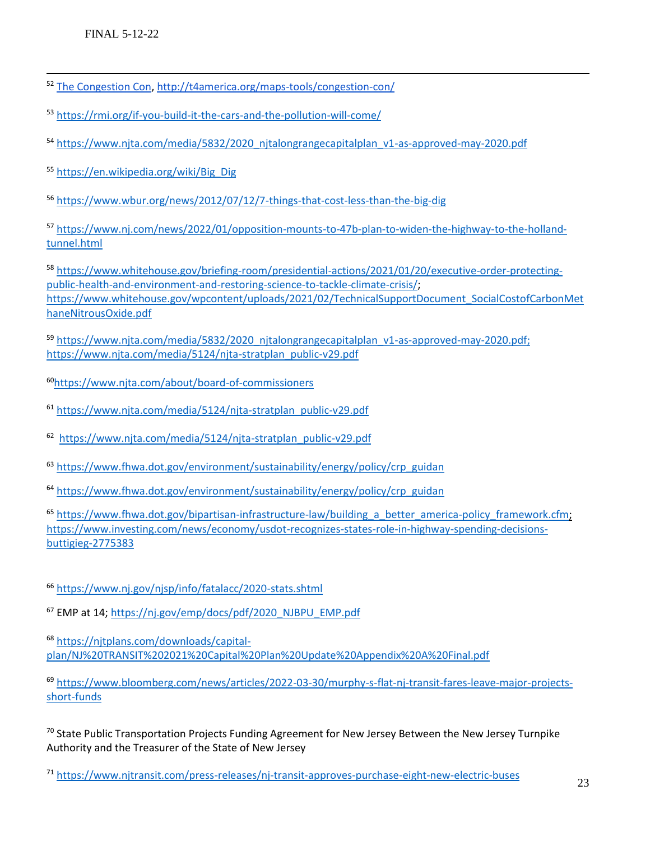- <sup>52</sup> The Congestion Con, http://t4america.org/maps-tools/congestion-con/
- <sup>53</sup> https://rmi.org/if-you-build-it-the-cars-and-the-pollution-will-come/
- 54 https://www.njta.com/media/5832/2020\_njtalongrangecapitalplan\_v1-as-approved-may-2020.pdf
- <sup>55</sup> https://en.wikipedia.org/wiki/Big\_Dig
- <sup>56</sup> https://www.wbur.org/news/2012/07/12/7-things-that-cost-less-than-the-big-dig

<sup>57</sup> https://www.nj.com/news/2022/01/opposition-mounts-to-47b-plan-to-widen-the-highway-to-the-hollandtunnel.html

<sup>58</sup> https://www.whitehouse.gov/briefing-room/presidential-actions/2021/01/20/executive-order-protectingpublic-health-and-environment-and-restoring-science-to-tackle-climate-crisis/; https://www.whitehouse.gov/wpcontent/uploads/2021/02/TechnicalSupportDocument\_SocialCostofCarbonMet haneNitrousOxide.pdf

<sup>59</sup> https://www.njta.com/media/5832/2020\_njtalongrangecapitalplan\_v1-as-approved-may-2020.pdf; https://www.njta.com/media/5124/njta-stratplan\_public-v29.pdf

- <sup>60</sup>https://www.njta.com/about/board-of-commissioners
- <sup>61</sup> https://www.njta.com/media/5124/njta-stratplan\_public-v29.pdf
- <sup>62</sup> https://www.njta.com/media/5124/njta-stratplan\_public-v29.pdf
- <sup>63</sup> https://www.fhwa.dot.gov/environment/sustainability/energy/policy/crp\_guidan
- <sup>64</sup> https://www.fhwa.dot.gov/environment/sustainability/energy/policy/crp\_guidan

<sup>65</sup> https://www.fhwa.dot.gov/bipartisan-infrastructure-law/building\_a\_better\_america-policy\_framework.cfm; https://www.investing.com/news/economy/usdot-recognizes-states-role-in-highway-spending-decisionsbuttigieg-2775383

- <sup>66</sup> https://www.nj.gov/njsp/info/fatalacc/2020-stats.shtml
- <sup>67</sup> EMP at 14; https://nj.gov/emp/docs/pdf/2020\_NJBPU\_EMP.pdf

<sup>68</sup> https://njtplans.com/downloads/capitalplan/NJ%20TRANSIT%202021%20Capital%20Plan%20Update%20Appendix%20A%20Final.pdf

<sup>69</sup> https://www.bloomberg.com/news/articles/2022-03-30/murphy-s-flat-nj-transit-fares-leave-major-projectsshort-funds

 $70$  State Public Transportation Projects Funding Agreement for New Jersey Between the New Jersey Turnpike Authority and the Treasurer of the State of New Jersey

<sup>71</sup> https://www.njtransit.com/press-releases/nj-transit-approves-purchase-eight-new-electric-buses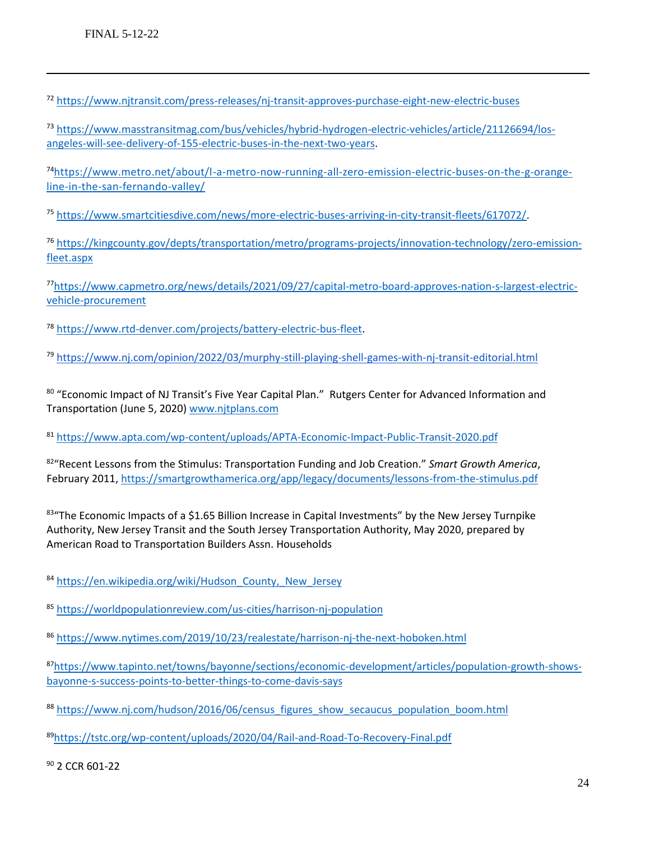<sup>72</sup> https://www.njtransit.com/press-releases/nj-transit-approves-purchase-eight-new-electric-buses

<sup>73</sup> https://www.masstransitmag.com/bus/vehicles/hybrid-hydrogen-electric-vehicles/article/21126694/losangeles-will-see-delivery-of-155-electric-buses-in-the-next-two-years.

74https://www.metro.net/about/l-a-metro-now-running-all-zero-emission-electric-buses-on-the-g-orangeline-in-the-san-fernando-valley/

<sup>75</sup> https://www.smartcitiesdive.com/news/more-electric-buses-arriving-in-city-transit-fleets/617072/.

<sup>76</sup> https://kingcounty.gov/depts/transportation/metro/programs-projects/innovation-technology/zero-emissionfleet.aspx

77https://www.capmetro.org/news/details/2021/09/27/capital-metro-board-approves-nation-s-largest-electricvehicle-procurement

<sup>78</sup> https://www.rtd-denver.com/projects/battery-electric-bus-fleet.

<sup>79</sup> https://www.nj.com/opinion/2022/03/murphy-still-playing-shell-games-with-nj-transit-editorial.html

80 "Economic Impact of NJ Transit's Five Year Capital Plan." Rutgers Center for Advanced Information and Transportation (June 5, 2020) www.njtplans.com

<sup>81</sup> https://www.apta.com/wp-content/uploads/APTA-Economic-Impact-Public-Transit-2020.pdf

<sup>82</sup>"Recent Lessons from the Stimulus: Transportation Funding and Job Creation." *Smart Growth America*, February 2011, https://smartgrowthamerica.org/app/legacy/documents/lessons-from-the-stimulus.pdf

83"The Economic Impacts of a \$1.65 Billion Increase in Capital Investments" by the New Jersey Turnpike Authority, New Jersey Transit and the South Jersey Transportation Authority, May 2020, prepared by American Road to Transportation Builders Assn. Households

84 https://en.wikipedia.org/wiki/Hudson\_County, New Jersey

<sup>85</sup> https://worldpopulationreview.com/us-cities/harrison-nj-population

<sup>86</sup> https://www.nytimes.com/2019/10/23/realestate/harrison-nj-the-next-hoboken.html

87https://www.tapinto.net/towns/bayonne/sections/economic-development/articles/population-growth-showsbayonne-s-success-points-to-better-things-to-come-davis-says

88 https://www.nj.com/hudson/2016/06/census\_figures\_show\_secaucus\_population\_boom.html

<sup>89</sup>https://tstc.org/wp-content/uploads/2020/04/Rail-and-Road-To-Recovery-Final.pdf

<sup>90</sup> 2 CCR 601-22